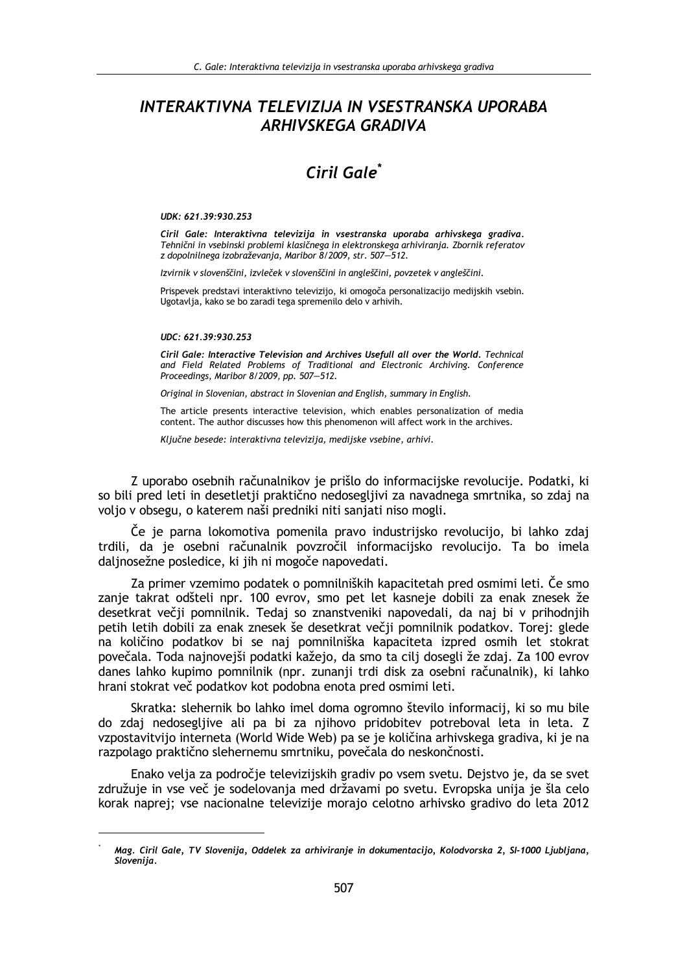## INTERAKTIVNA TELEVIZIJA IN VSESTRANSKA UPORABA **ARHIVSKEGA GRADIVA**

# Ciril Gale<sup>\*</sup>

#### UDK: 621.39:930.253

Ciril Gale: Interaktivna televizija in vsestranska uporaba arhivskega gradiva. Tehnični in vsebinski problemi klasičnega in elektronskega arhiviranja. Zbornik referatov z dopolnilnega izobraževanja, Maribor 8/2009, str. 507-512.

Izvirnik v slovenščini, izvleček v slovenščini in angleščini, povzetek v angleščini.

Prispevek predstavi interaktivno televizijo, ki omogoča personalizacijo medijskih vsebin. Ugotavlja, kako se bo zaradi tega spremenilo delo v arhivih.

#### UDC: 621.39:930.253

Ciril Gale: Interactive Television and Archives Usefull all over the World. Technical and Field Related Problems of Traditional and Electronic Archiving. Conference Proceedings, Maribor 8/2009, pp. 507-512.

Original in Slovenian, abstract in Slovenian and English, summary in English.

The article presents interactive television, which enables personalization of media content. The author discusses how this phenomenon will affect work in the archives.

Ključne besede: interaktivna televizija, medijske vsebine, arhivi.

Z uporabo osebnih računalnikov je prišlo do informacijske revolucije. Podatki, ki so bili pred leti in desetletii praktično nedosegljivi za navadnega smrtnika, so zdaj na voljo v obsegu, o katerem naši predniki niti sanjati niso mogli.

Če je parna lokomotiva pomenila pravo industrijsko revolucijo, bi lahko zdaj trdili, da je osebni računalnik povzročil informacijsko revolucijo. Ta bo imela daljnosežne posledice, ki jih ni mogoče napovedati.

Za primer vzemimo podatek o pomnilniških kapacitetah pred osmimi leti. Če smo zanje takrat odšteli npr. 100 evrov, smo pet let kasneje dobili za enak znesek že desetkrat večji pomnilnik. Tedaj so znanstveniki napovedali, da naj bi v prihodnjih petih letih dobili za enak znesek še desetkrat večji pomnilnik podatkov. Torej: glede na količino podatkov bi se naj pomnilniška kapaciteta izpred osmih let stokrat povečala. Toda najnovejši podatki kažejo, da smo ta cilj dosegli že zdaj. Za 100 evrov danes lahko kupimo pomnilnik (npr. zunanji trdi disk za osebni računalnik), ki lahko hrani stokrat več podatkov kot podobna enota pred osmimi leti.

Skratka: slehernik bo lahko imel doma ogromno število informacij, ki so mu bile do zdaj nedosegljive ali pa bi za njihovo pridobitev potreboval leta in leta. Z vzpostavitvijo interneta (World Wide Web) pa se je količina arhivskega gradiva, ki je na razpolago praktično slehernemu smrtniku, povečala do neskončnosti.

Enako velja za področje televizijskih gradiv po vsem svetu. Dejstvo je, da se svet združuje in vse več je sodelovanja med državami po svetu. Evropska unija je šla celo korak naprej; vse nacionalne televizije morajo celotno arhivsko gradivo do leta 2012

Mag. Ciril Gale, TV Slovenija, Oddelek za arhiviranje in dokumentacijo, Kolodvorska 2, SI-1000 Ljubljana, Slovenija.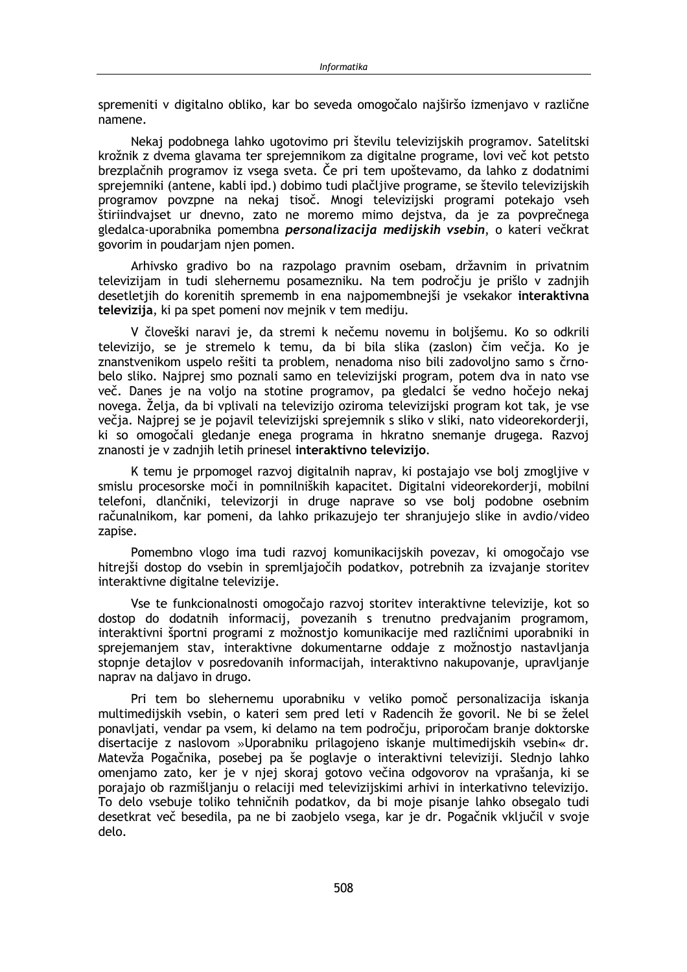spremeniti v digitalno obliko, kar bo seveda omogočalo najširšo izmenjavo v različne namene.

Nekaj podobnega lahko ugotovimo pri številu televizijskih programov. Satelitski krožnik z dvema glavama ter sprejemnikom za digitalne programe, lovi več kot petsto brezplačnih programov iz vsega sveta. Če pri tem upoštevamo, da lahko z dodatnimi sprejemniki (antene, kabli ipd.) dobimo tudi plačljive programe, se število televizijskih programov povzpne na nekaj tisoč. Mnogi televizijski programi potekajo vseh štiriindvajset ur dnevno, zato ne moremo mimo dejstva, da je za povprečnega gledalca-uporabnika pomembna *personalizacija medijskih vsebin*, o kateri večkrat govorim in poudarjam njen pomen.

Arhivsko gradivo bo na razpolago pravnim osebam, državnim in privatnim televizijam in tudi slehernemu posamezniku. Na tem področju je prišlo v zadnjih desetletjih do korenitih sprememb in ena najpomembnejši je vsekakor interaktivna televizija, ki pa spet pomeni nov mejnik v tem mediju.

V človeški naravi je, da stremi k nečemu novemu in boljšemu. Ko so odkrili televizijo, se je stremelo k temu, da bi bila slika (zaslon) čim večja. Ko je znanstvenikom uspelo rešiti ta problem, nenadoma niso bili zadovoljno samo s črnobelo sliko. Najprej smo poznali samo en televizijski program, potem dva in nato vse več. Danes je na voljo na stotine programov, pa gledalci še vedno hočejo nekaj novega. Želja, da bi vplivali na televizijo oziroma televizijski program kot tak, je vse večia. Najprej se je pojavil televizijski sprejemnik s sliko v sliki, nato videorekorderij, ki so omogočali gledanje enega programa in hkratno snemanje drugega. Razvoj znanosti je v zadnjih letih prinesel interaktivno televizijo.

K temu je prpomogel razvoj digitalnih naprav, ki postajajo vse bolj zmogljive v smislu procesorske moči in pomnilniških kapacitet. Digitalni videorekorderji, mobilni telefoni, dlančniki, televizorij in druge naprave so vse boli podobne osebnim računalnikom, kar pomeni, da lahko prikazujejo ter shranjujejo slike in avdio/video zapise.

Pomembno vlogo ima tudi razvoj komunikacijskih povezav, ki omogočajo vse hitrejši dostop do vsebin in spremliajočih podatkov, potrebnih za izvajanje storitev interaktivne digitalne televizije.

Vse te funkcionalnosti omogočajo razvoj storitev interaktivne televizije, kot so dostop do dodatnih informacij, povezanih s trenutno predvajanim programom, interaktivni športni programi z možnostjo komunikacije med različnimi uporabniki in sprejemanjem stav, interaktivne dokumentarne oddaje z možnostjo nastavljanja stopnje detajlov v posredovanih informacijah, interaktivno nakupovanje, upravljanje naprav na daljavo in drugo.

Pri tem bo slehernemu uporabniku v veliko pomoč personalizacija iskanja multimedijskih vsebin, o kateri sem pred leti v Radencih že govoril. Ne bi se želel ponavljati, vendar pa vsem, ki delamo na tem področju, priporočam branje doktorske disertacije z naslovom »Uporabniku prilagojeno iskanje multimedijskih vsebin« dr. Matevža Pogačnika, posebej pa še poglavje o interaktivni televiziji. Slednjo lahko omenjamo zato, ker je v njej skoraj gotovo večina odgovorov na vprašanja, ki se porajajo ob razmišljanju o relaciji med televizijskimi arhivi in interkativno televizijo. To delo vsebuje toliko tehničnih podatkov, da bi moje pisanje lahko obsegalo tudi desetkrat več besedila, pa ne bi zaobjelo vsega, kar je dr. Pogačnik vključil v svoje delo.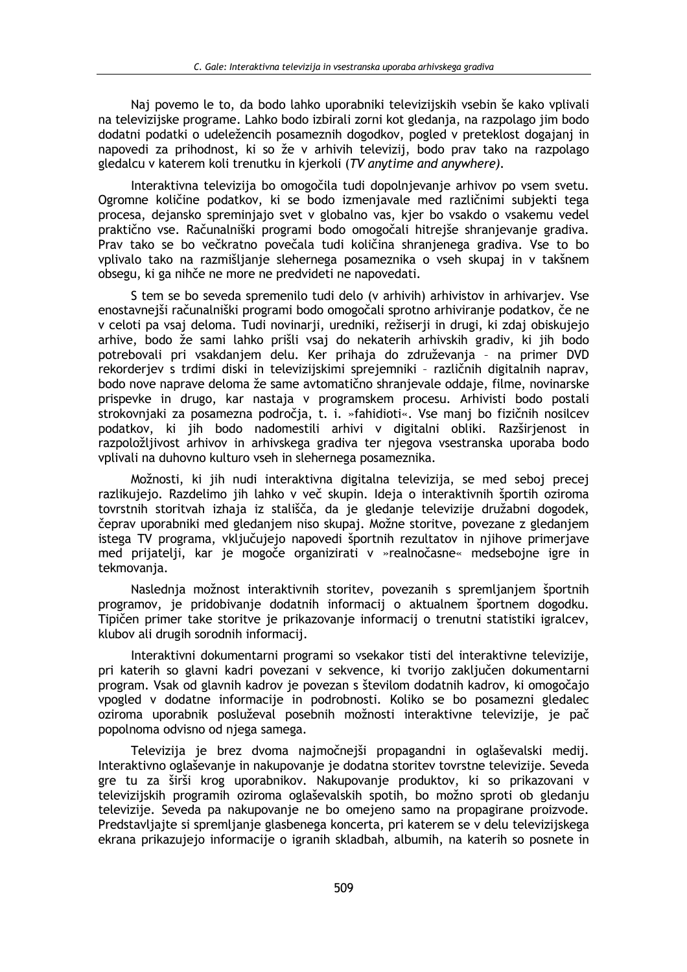Naj povemo le to, da bodo lahko uporabniki televizijskih vsebin še kako vplivali na televizijske programe. Lahko bodo izbirali zorni kot gledanja, na razpolago jim bodo dodatni podatki o udeležencih posameznih dogodkov, pogled v preteklost dogajanj in napovedi za prihodnost, ki so že v arhivih televizii, bodo prav tako na razpolago gledalcu v katerem koli trenutku in kjerkoli (TV anytime and anywhere).

Interaktivna televizija bo omogočila tudi dopolnjevanje arhivov po vsem svetu. Ogromne količine podatkov, ki se bodo izmenjavale med različnimi subjekti tega procesa, dejansko spreminjajo svet v globalno vas, kjer bo vsakdo o vsakemu vedel praktično vse. Računalniški programi bodo omogočali hitrejše shranjevanje gradiva. Prav tako se bo večkratno povečala tudi količina shranjenega gradiva. Vse to bo vplivalo tako na razmišljanje slehernega posameznika o vseh skupaj in v takšnem obsegu, ki ga nihče ne more ne predvideti ne napovedati.

S tem se bo seveda spremenilo tudi delo (v arhivih) arhivistov in arhivarjev. Vse enostavnejši računalniški programi bodo omogočali sprotno arhiviranie podatkov. če ne v celoti pa vsaj deloma. Tudi novinarij, uredniki, režiserji in drugi, ki zdaj obiskujejo arhive, bodo že sami lahko prišli vsaj do nekaterih arhivskih gradiv, ki jih bodo potrebovali pri vsakdanjem delu. Ker prihaja do združevanja - na primer DVD rekorderjev s trdimi diski in televizijskimi sprejemniki - različnih digitalnih naprav, bodo nove naprave deloma že same avtomatično shranjevale oddaje, filme, novinarske prispevke in drugo, kar nastaja v programskem procesu. Arhivisti bodo postali strokovniaki za posamezna področia, t. i. »fahidioti«. Vse mani bo fizičnih nosilcev podatkov, ki jih bodo nadomestili arhivi v digitalni obliki. Razširjenost in razpoložljivost arhivov in arhivskega gradiva ter njegova vsestranska uporaba bodo vplivali na duhovno kulturo vseh in slehernega posameznika.

Možnosti, ki jih nudi interaktivna digitalna televizija, se med seboj precej razlikujejo. Razdelimo jih lahko v več skupin. Ideja o interaktivnih športih oziroma tovrstnih storitvah izhaja iz stališča, da je gledanje televizije družabni dogodek, čeprav uporabniki med gledanjem niso skupaj. Možne storitve, povezane z gledanjem istega TV programa, vključujejo napovedi športnih rezultatov in njihove primerjave med prijatelji, kar je mogoče organizirati v »realnočasne« medsebojne igre in tekmovanja.

Naslednia možnost interaktivnih storitev, povezanih s spremljanjem športnih programov, je pridobivanje dodatnih informacij o aktualnem športnem dogodku. Tipičen primer take storitve je prikazovanje informacij o trenutni statistiki igralcev, klubov ali drugih sorodnih informacij.

Interaktivni dokumentarni programi so vsekakor tisti del interaktivne televizije, pri katerih so glavni kadri povezani v sekvence, ki tvorijo zaključen dokumentarni program. Vsak od glavnih kadrov je povezan s številom dodatnih kadrov, ki omogočajo vpogled v dodatne informacije in podrobnosti. Koliko se bo posamezni gledalec oziroma uporabnik posluževal posebnih možnosti interaktivne televizije, je pač popolnoma odvisno od njega samega.

Televizija je brez dvoma najmočnejši propagandni in oglaševalski medij. Interaktivno oglaševanje in nakupovanje je dodatna storitev tovrstne televizije. Seveda gre tu za širši krog uporabnikov. Nakupovanje produktov, ki so prikazovani v televizijskih programih oziroma oglaševalskih spotih, bo možno sproti ob gledanju televizije. Seveda pa nakupovanje ne bo omejeno samo na propagirane proizvode. Predstavljajte si spremljanje glasbenega koncerta, pri katerem se v delu televizijskega ekrana prikazujejo informacije o igranih skladbah, albumih, na katerih so posnete in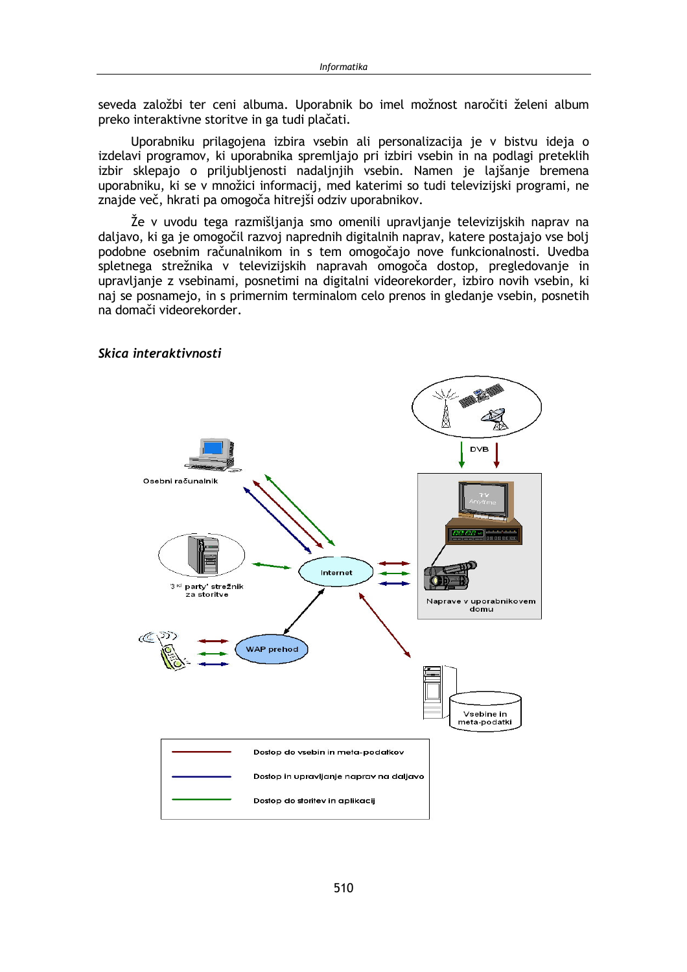seveda založbi ter ceni albuma. Uporabnik bo imel možnost naročiti želeni album preko interaktivne storitve in ga tudi plačati.

Uporabniku prilagojena izbira vsebin ali personalizacija je v bistvu ideja o izdelavi programov, ki uporabnika spremljajo pri izbiri vsebin in na podlagi preteklih izbir sklepajo o priljubljenosti nadaljnjih vsebin. Namen je lajšanje bremena uporabniku, ki se v množici informacij, med katerimi so tudi televizijski programi, ne znajde več, hkrati pa omogoča hitrejši odziv uporabnikov.

Že v uvodu tega razmišljanja smo omenili upravljanje televizijskih naprav na daljavo, ki ga je omogočil razvoj naprednih digitalnih naprav, katere postajajo vse bolj podobne osebnim računalnikom in s tem omogočajo nove funkcionalnosti. Uvedba spletnega strežnika v televizijskih napravah omogoča dostop, pregledovanje in upravljanje z vsebinami, posnetimi na digitalni videorekorder, izbiro novih vsebin, ki naj se posnamejo, in s primernim terminalom celo prenos in gledanje vsebin, posnetih na domači videorekorder.



### Skica interaktivnosti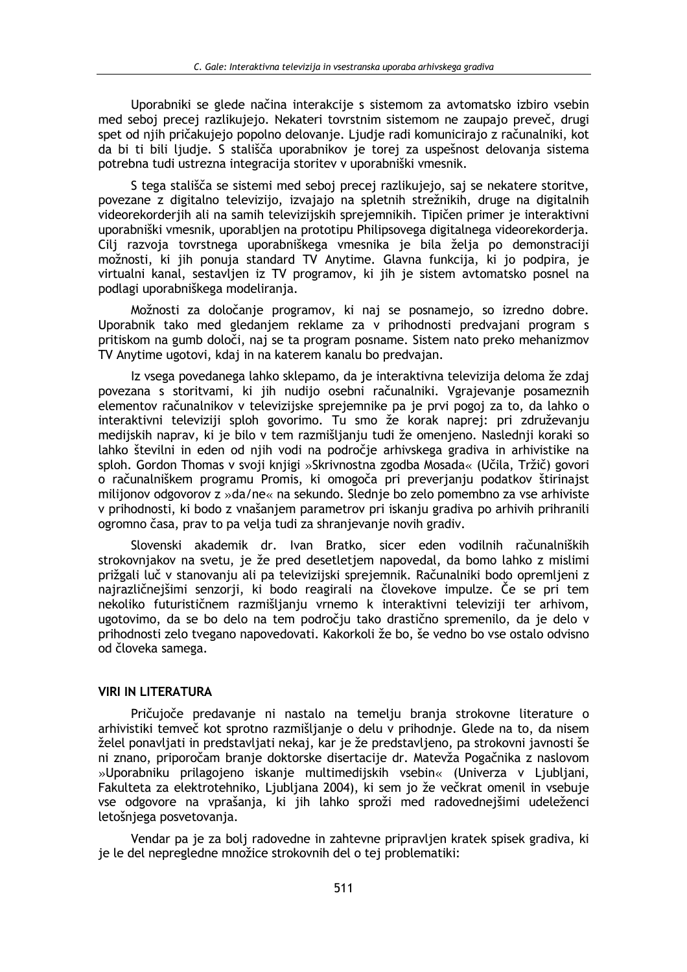Uporabniki se glede načina interakcije s sistemom za avtomatsko izbiro vsebin med seboj precej razlikujejo. Nekateri tovrstnim sistemom ne zaupajo preveč, drugi spet od njih pričakujejo popolno delovanje. Ljudje radi komunicirajo z računalniki, kot da bi ti bili liudie. S stališča uporabnikov je torej za uspešnost delovanja sistema potrebna tudi ustrezna integracija storitev v uporabniški vmesnik.

S tega stališča se sistemi med seboj precej razlikujejo, saj se nekatere storitve, povezane z digitalno televizijo, izvajajo na spletnih strežnikih, druge na digitalnih videorekorderjih ali na samih televizijskih sprejemnikih. Tipičen primer je interaktivni uporabniški vmesnik, uporabljen na prototipu Philipsovega digitalnega videorekorderja. Cilj razvoja tovrstnega uporabniškega vmesnika je bila želja po demonstraciji možnosti, ki jih ponuja standard TV Anytime. Glavna funkcija, ki jo podpira, je virtualni kanal, sestavljen iz TV programov, ki jih je sistem avtomatsko posnel na podlagi uporabniškega modeliranja.

Možnosti za določanje programov, ki naj se posnamejo, so izredno dobre. Uporabnik tako med gledanjem reklame za v prihodnosti predvajani program s pritiskom na gumb določi, naj se ta program posname. Sistem nato preko mehanizmov TV Anytime ugotovi, kdaj in na katerem kanalu bo predvajan.

Iz vsega povedanega lahko sklepamo, da je interaktivna televizija deloma že zdaj povezana s storitvami, ki jih nudijo osebni računalniki. Vgrajevanje posameznih elementov računalnikov v televizijske sprejemnike pa je prvi pogoj za to, da lahko o interaktivni televiziji sploh govorimo. Tu smo že korak naprej: pri združevanju medijskih naprav, ki je bilo v tem razmišljanju tudi že omenjeno. Naslednji koraki so lahko številni in eden od njih vodi na področje arhivskega gradiva in arhivistike na sploh. Gordon Thomas v svoji knjigi »Skrivnostna zgodba Mosada« (Učila, Tržič) govori o računalniškem programu Promis, ki omogoča pri preverjanju podatkov štirinajst milijonov odgovorov z »da/ne« na sekundo. Slednje bo zelo pomembno za vse arhiviste v prihodnosti, ki bodo z vnašaniem parametrov pri iskanju gradiva po arhivih prihranili ogromno časa, prav to pa velja tudi za shranjevanje novih gradiv.

Slovenski akademik dr. Ivan Bratko, sicer eden vodilnih računalniških strokovniakov na svetu, je že pred desetletjem napovedal, da bomo lahko z mislimi prižgali luč v stanovanju ali pa televizijski sprejemnik. Računalniki bodo opremljeni z nairazličneišimi senzorii, ki bodo reagirali na človekove impulze. Če se pri tem nekoliko futurističnem razmišljanju vrnemo k interaktivni televiziji ter arhivom, ugotovimo, da se bo delo na tem področju tako drastično spremenilo, da je delo v prihodnosti zelo tvegano napovedovati. Kakorkoli že bo, še vedno bo vse ostalo odvisno od človeka samega.

## **VIRI IN LITERATURA**

Pričujoče predavanje ni nastalo na temelju branja strokovne literature o arhivistiki temveč kot sprotno razmišljanje o delu v prihodnje. Glede na to, da nisem želel ponavljati in predstavljati nekaj, kar je že predstavljeno, pa strokovni javnosti še ni znano, priporočam branje doktorske disertacije dr. Matevža Pogačnika z naslovom »Uporabniku prilagojeno iskanje multimedijskih vsebin« (Univerza v Ljubljani, Fakulteta za elektrotehniko, Ljubljana 2004), ki sem jo že večkrat omenil in vsebuje vse odgovore na vprašanja, ki jih lahko sproži med radovednejšimi udeleženci letošniega posvetovanja.

Vendar pa je za bolj radovedne in zahtevne pripravljen kratek spisek gradiva, ki je le del nepregledne množice strokovnih del o tej problematiki: